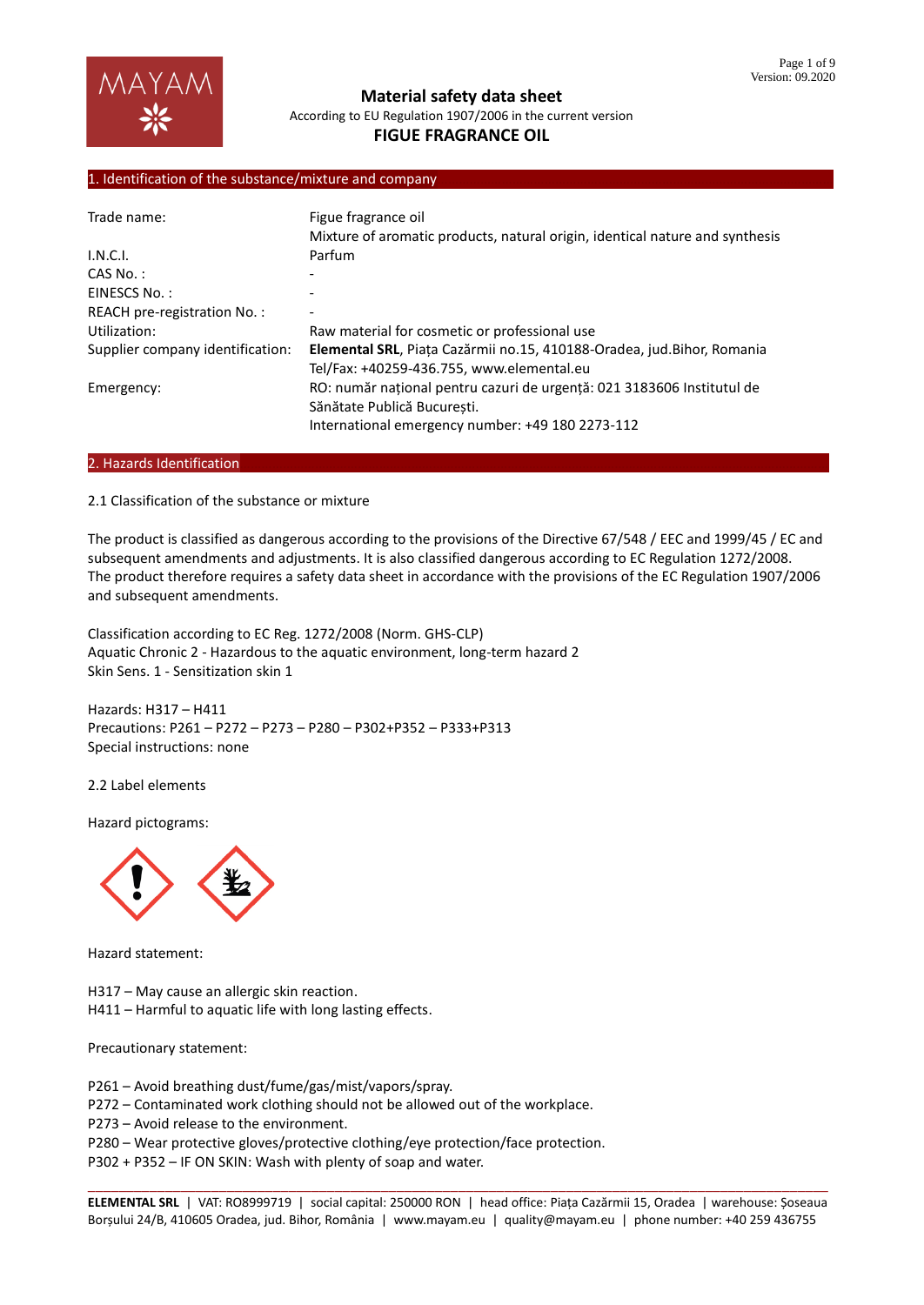## 1. Identification of the substance/mixture and company

| Trade name:                      | Figue fragrance oil<br>Mixture of aromatic products, natural origin, identical nature and synthesis                                                       |
|----------------------------------|-----------------------------------------------------------------------------------------------------------------------------------------------------------|
| I.N.C.I.                         | Parfum                                                                                                                                                    |
| $CAS No.$ :                      |                                                                                                                                                           |
| EINESCS No.:                     |                                                                                                                                                           |
| REACH pre-registration No.:      |                                                                                                                                                           |
| Utilization:                     | Raw material for cosmetic or professional use                                                                                                             |
| Supplier company identification: | Elemental SRL, Piața Cazărmii no.15, 410188-Oradea, jud.Bihor, Romania<br>Tel/Fax: +40259-436.755, www.elemental.eu                                       |
| Emergency:                       | RO: număr național pentru cazuri de urgență: 021 3183606 Institutul de<br>Sănătate Publică București.<br>International emergency number: +49 180 2273-112 |

### 2. Hazards Identification

2.1 Classification of the substance or mixture

The product is classified as dangerous according to the provisions of the Directive 67/548 / EEC and 1999/45 / EC and subsequent amendments and adjustments. It is also classified dangerous according to EC Regulation 1272/2008. The product therefore requires a safety data sheet in accordance with the provisions of the EC Regulation 1907/2006 and subsequent amendments.

Classification according to EC Reg. 1272/2008 (Norm. GHS-CLP) Aquatic Chronic 2 - Hazardous to the aquatic environment, long-term hazard 2 Skin Sens. 1 - Sensitization skin 1

Hazards: H317 – H411 Precautions: P261 – P272 – P273 – P280 – P302+P352 – P333+P313 Special instructions: none

2.2 Label elements

Hazard pictograms:



Hazard statement:

H317 – May cause an allergic skin reaction.

H411 – Harmful to aquatic life with long lasting effects.

Precautionary statement:

P261 – Avoid breathing dust/fume/gas/mist/vapors/spray.

P272 – Contaminated work clothing should not be allowed out of the workplace.

P273 – Avoid release to the environment.

P280 – Wear protective gloves/protective clothing/eye protection/face protection.

P302 + P352 – IF ON SKIN: Wash with plenty of soap and water.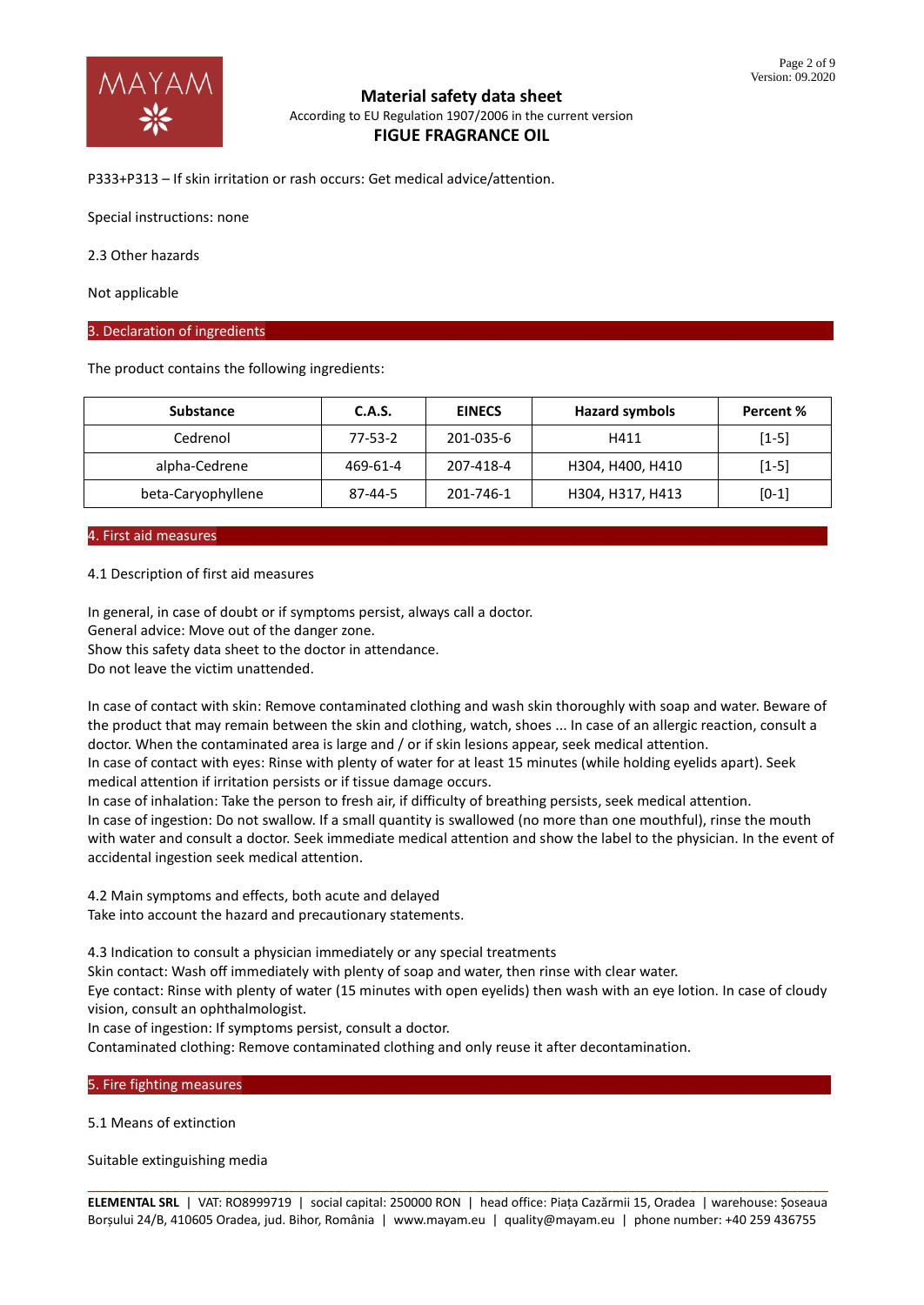

P333+P313 – If skin irritation or rash occurs: Get medical advice/attention.

Special instructions: none

2.3 Other hazards

Not applicable

### 3. Declaration of ingredients

The product contains the following ingredients:

| <b>Substance</b>   | C.A.S.        | <b>EINECS</b> | <b>Hazard symbols</b> | Percent % |
|--------------------|---------------|---------------|-----------------------|-----------|
| Cedrenol           | $77 - 53 - 2$ | 201-035-6     | H411                  | $[1-5]$   |
| alpha-Cedrene      | 469-61-4      | 207-418-4     | H304, H400, H410      | $[1-5]$   |
| beta-Caryophyllene | 87-44-5       | 201-746-1     | H304, H317, H413      | $[0-1]$   |

# 4. First aid measures

### 4.1 Description of first aid measures

In general, in case of doubt or if symptoms persist, always call a doctor. General advice: Move out of the danger zone. Show this safety data sheet to the doctor in attendance. Do not leave the victim unattended.

In case of contact with skin: Remove contaminated clothing and wash skin thoroughly with soap and water. Beware of the product that may remain between the skin and clothing, watch, shoes ... In case of an allergic reaction, consult a doctor. When the contaminated area is large and / or if skin lesions appear, seek medical attention. In case of contact with eyes: Rinse with plenty of water for at least 15 minutes (while holding eyelids apart). Seek medical attention if irritation persists or if tissue damage occurs.

In case of inhalation: Take the person to fresh air, if difficulty of breathing persists, seek medical attention. In case of ingestion: Do not swallow. If a small quantity is swallowed (no more than one mouthful), rinse the mouth with water and consult a doctor. Seek immediate medical attention and show the label to the physician. In the event of accidental ingestion seek medical attention.

4.2 Main symptoms and effects, both acute and delayed Take into account the hazard and precautionary statements.

4.3 Indication to consult a physician immediately or any special treatments

Skin contact: Wash off immediately with plenty of soap and water, then rinse with clear water.

Eye contact: Rinse with plenty of water (15 minutes with open eyelids) then wash with an eye lotion. In case of cloudy vision, consult an ophthalmologist.

In case of ingestion: If symptoms persist, consult a doctor.

Contaminated clothing: Remove contaminated clothing and only reuse it after decontamination.

### 5. Fire fighting measures

5.1 Means of extinction

Suitable extinguishing media

\_\_\_\_\_\_\_\_\_\_\_\_\_\_\_\_\_\_\_\_\_\_\_\_\_\_\_\_\_\_\_\_\_\_\_\_\_\_\_\_\_\_\_\_\_\_\_\_\_\_\_\_\_\_\_\_\_\_\_\_\_\_\_\_\_\_\_\_\_\_\_\_\_\_\_\_\_\_\_\_\_\_\_\_\_\_\_\_\_\_\_\_\_\_\_\_ **ELEMENTAL SRL** | VAT: RO8999719 | social capital: 250000 RON | head office: Piața Cazărmii 15, Oradea | warehouse: Șoseaua Borșului 24/B, 410605 Oradea, jud. Bihor, România | www.mayam.eu | quality@mayam.eu | phone number: +40 259 436755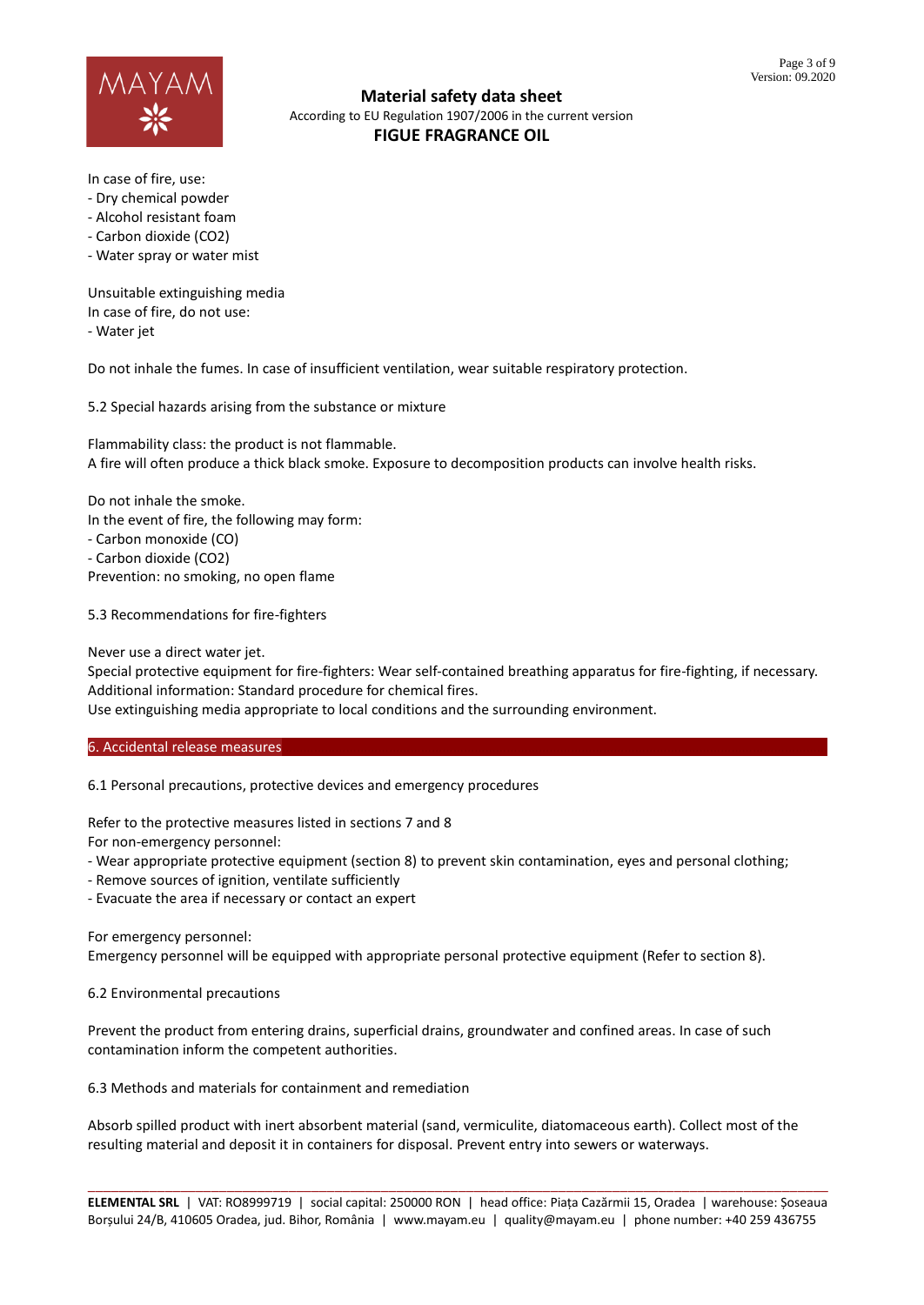

In case of fire, use:

- Dry chemical powder
- Alcohol resistant foam
- Carbon dioxide (CO2)
- Water spray or water mist

Unsuitable extinguishing media In case of fire, do not use: - Water jet

Do not inhale the fumes. In case of insufficient ventilation, wear suitable respiratory protection.

5.2 Special hazards arising from the substance or mixture

Flammability class: the product is not flammable. A fire will often produce a thick black smoke. Exposure to decomposition products can involve health risks.

Do not inhale the smoke. In the event of fire, the following may form: - Carbon monoxide (CO) - Carbon dioxide (CO2) Prevention: no smoking, no open flame

5.3 Recommendations for fire-fighters

Never use a direct water jet.

Special protective equipment for fire-fighters: Wear self-contained breathing apparatus for fire-fighting, if necessary. Additional information: Standard procedure for chemical fires.

Use extinguishing media appropriate to local conditions and the surrounding environment.

6. Accidental release measures

6.1 Personal precautions, protective devices and emergency procedures

Refer to the protective measures listed in sections 7 and 8 For non-emergency personnel:

- Wear appropriate protective equipment (section 8) to prevent skin contamination, eyes and personal clothing;

- Remove sources of ignition, ventilate sufficiently
- Evacuate the area if necessary or contact an expert

For emergency personnel:

Emergency personnel will be equipped with appropriate personal protective equipment (Refer to section 8).

6.2 Environmental precautions

Prevent the product from entering drains, superficial drains, groundwater and confined areas. In case of such contamination inform the competent authorities.

6.3 Methods and materials for containment and remediation

Absorb spilled product with inert absorbent material (sand, vermiculite, diatomaceous earth). Collect most of the resulting material and deposit it in containers for disposal. Prevent entry into sewers or waterways.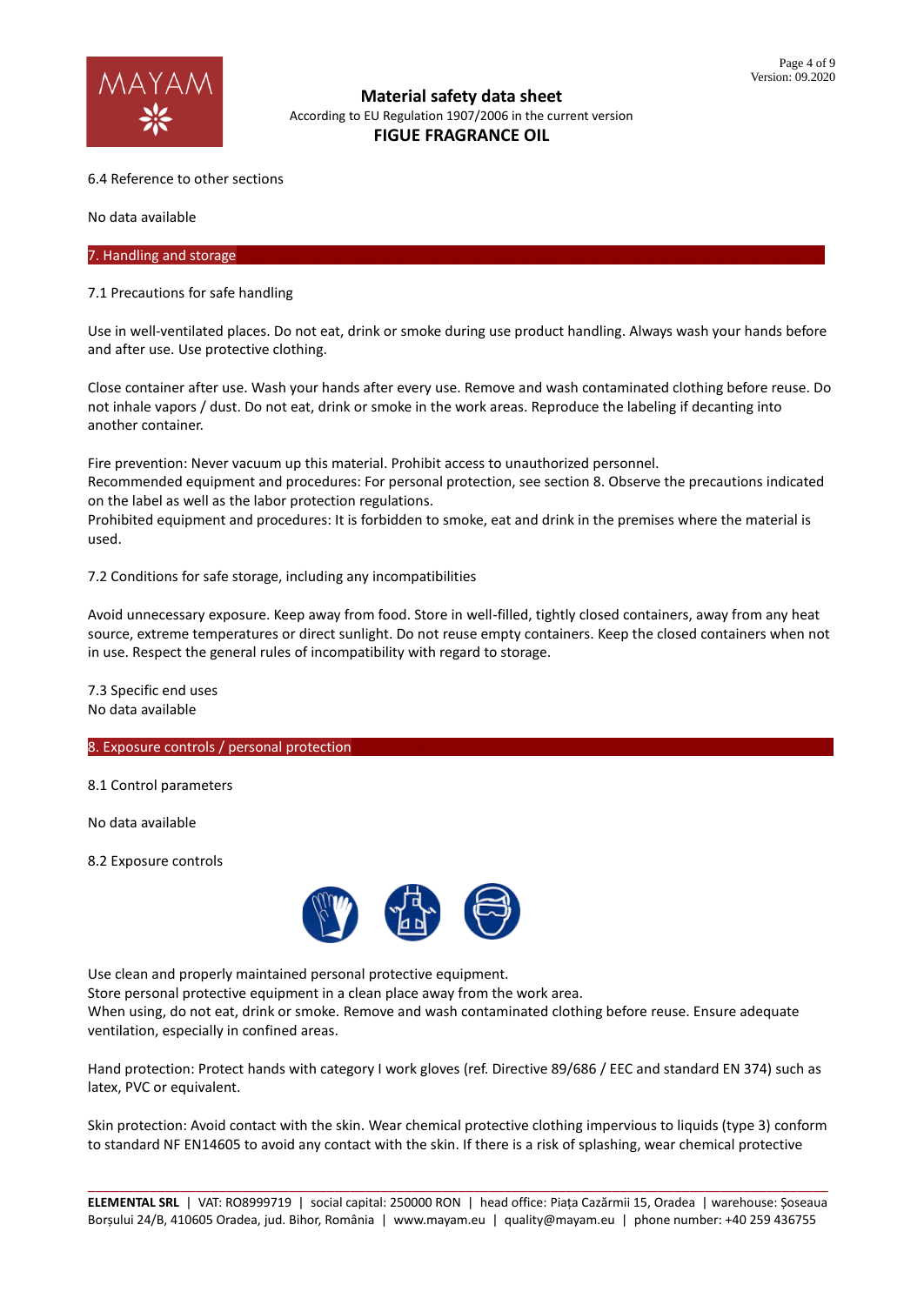

## 6.4 Reference to other sections

No data available

## 7. Handling and storage

## 7.1 Precautions for safe handling

Use in well-ventilated places. Do not eat, drink or smoke during use product handling. Always wash your hands before and after use. Use protective clothing.

Close container after use. Wash your hands after every use. Remove and wash contaminated clothing before reuse. Do not inhale vapors / dust. Do not eat, drink or smoke in the work areas. Reproduce the labeling if decanting into another container.

Fire prevention: Never vacuum up this material. Prohibit access to unauthorized personnel. Recommended equipment and procedures: For personal protection, see section 8. Observe the precautions indicated on the label as well as the labor protection regulations.

Prohibited equipment and procedures: It is forbidden to smoke, eat and drink in the premises where the material is used.

7.2 Conditions for safe storage, including any incompatibilities

Avoid unnecessary exposure. Keep away from food. Store in well-filled, tightly closed containers, away from any heat source, extreme temperatures or direct sunlight. Do not reuse empty containers. Keep the closed containers when not in use. Respect the general rules of incompatibility with regard to storage.

7.3 Specific end uses No data available

## 8. Exposure controls / personal protection

8.1 Control parameters

No data available

8.2 Exposure controls



Use clean and properly maintained personal protective equipment.

Store personal protective equipment in a clean place away from the work area.

When using, do not eat, drink or smoke. Remove and wash contaminated clothing before reuse. Ensure adequate ventilation, especially in confined areas.

Hand protection: Protect hands with category I work gloves (ref. Directive 89/686 / EEC and standard EN 374) such as latex, PVC or equivalent.

Skin protection: Avoid contact with the skin. Wear chemical protective clothing impervious to liquids (type 3) conform to standard NF EN14605 to avoid any contact with the skin. If there is a risk of splashing, wear chemical protective

\_\_\_\_\_\_\_\_\_\_\_\_\_\_\_\_\_\_\_\_\_\_\_\_\_\_\_\_\_\_\_\_\_\_\_\_\_\_\_\_\_\_\_\_\_\_\_\_\_\_\_\_\_\_\_\_\_\_\_\_\_\_\_\_\_\_\_\_\_\_\_\_\_\_\_\_\_\_\_\_\_\_\_\_\_\_\_\_\_\_\_\_\_\_\_\_ **ELEMENTAL SRL** | VAT: RO8999719 | social capital: 250000 RON | head office: Piața Cazărmii 15, Oradea | warehouse: Șoseaua Borșului 24/B, 410605 Oradea, jud. Bihor, România | www.mayam.eu | quality@mayam.eu | phone number: +40 259 436755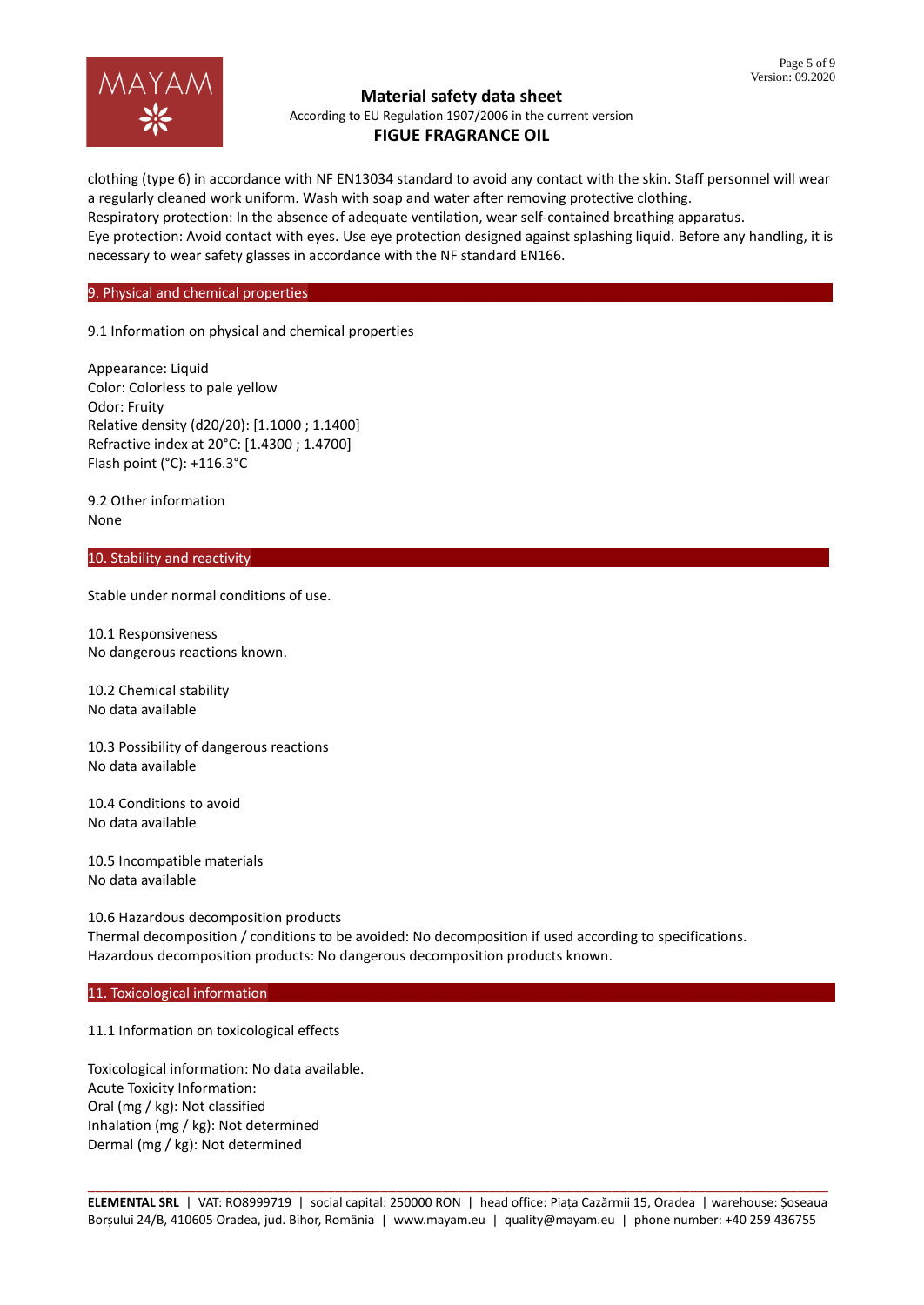

clothing (type 6) in accordance with NF EN13034 standard to avoid any contact with the skin. Staff personnel will wear a regularly cleaned work uniform. Wash with soap and water after removing protective clothing. Respiratory protection: In the absence of adequate ventilation, wear self-contained breathing apparatus. Eye protection: Avoid contact with eyes. Use eye protection designed against splashing liquid. Before any handling, it is necessary to wear safety glasses in accordance with the NF standard EN166.

# 9. Physical and chemical properties

9.1 Information on physical and chemical properties

Appearance: Liquid Color: Colorless to pale yellow Odor: Fruity Relative density (d20/20): [1.1000 ; 1.1400] Refractive index at 20°C: [1.4300 ; 1.4700] Flash point (°C): +116.3°C

9.2 Other information None

### 10. Stability and reactivity

Stable under normal conditions of use.

10.1 Responsiveness No dangerous reactions known.

10.2 Chemical stability No data available

10.3 Possibility of dangerous reactions No data available

10.4 Conditions to avoid No data available

10.5 Incompatible materials No data available

10.6 Hazardous decomposition products Thermal decomposition / conditions to be avoided: No decomposition if used according to specifications. Hazardous decomposition products: No dangerous decomposition products known.

### 11. Toxicological information

11.1 Information on toxicological effects

Toxicological information: No data available. Acute Toxicity Information: Oral (mg / kg): Not classified Inhalation (mg / kg): Not determined Dermal (mg / kg): Not determined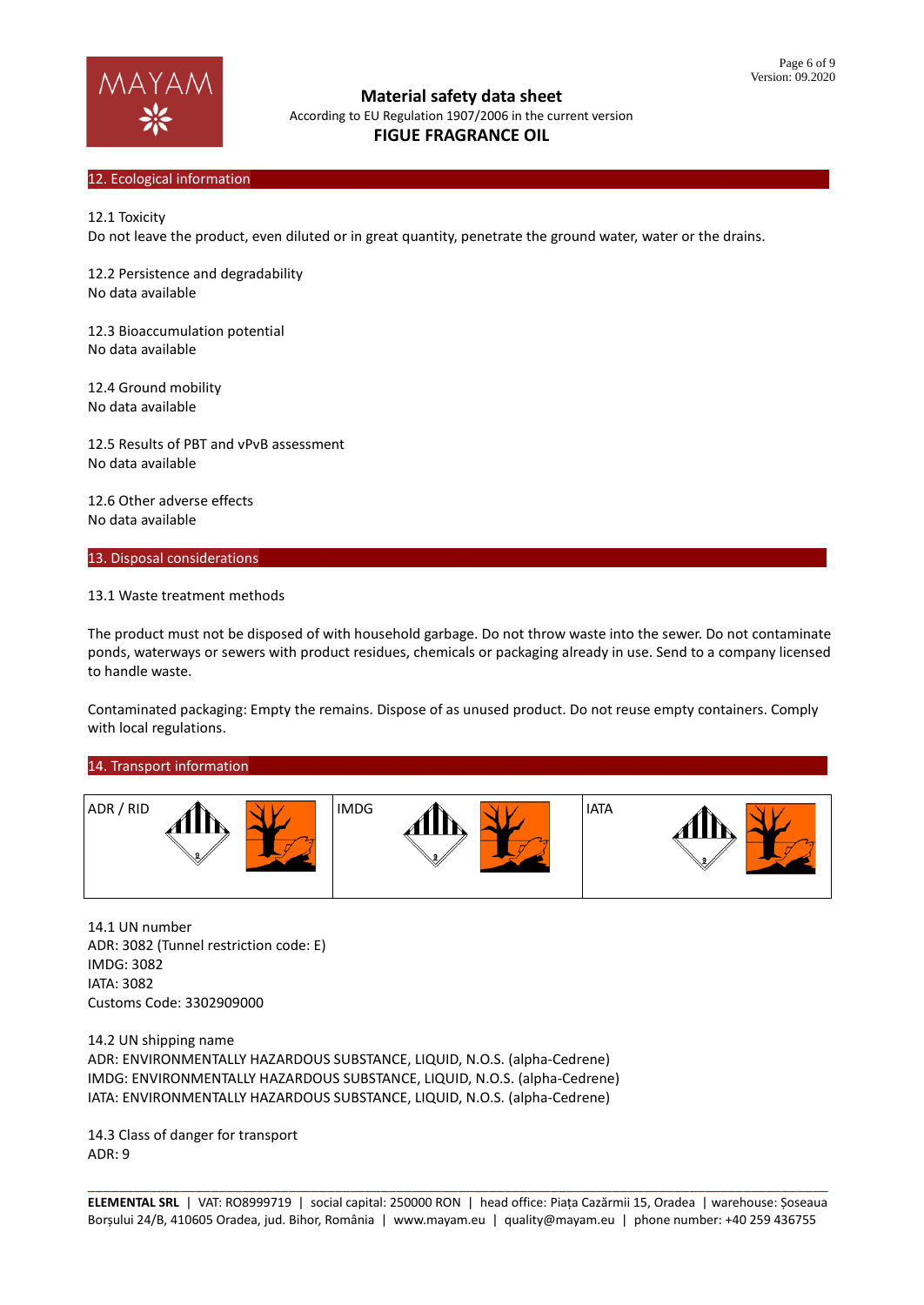

### 12. Ecological information

12.1 Toxicity

Do not leave the product, even diluted or in great quantity, penetrate the ground water, water or the drains.

12.2 Persistence and degradability No data available

12.3 Bioaccumulation potential No data available

12.4 Ground mobility No data available

12.5 Results of PBT and vPvB assessment No data available

12.6 Other adverse effects No data available

13. Disposal considerations

### 13.1 Waste treatment methods

The product must not be disposed of with household garbage. Do not throw waste into the sewer. Do not contaminate ponds, waterways or sewers with product residues, chemicals or packaging already in use. Send to a company licensed to handle waste.

Contaminated packaging: Empty the remains. Dispose of as unused product. Do not reuse empty containers. Comply with local regulations.

### 14. Transport information



14.1 UN number ADR: 3082 (Tunnel restriction code: E) IMDG: 3082 IATA: 3082 Customs Code: 3302909000

14.2 UN shipping name ADR: ENVIRONMENTALLY HAZARDOUS SUBSTANCE, LIQUID, N.O.S. (alpha-Cedrene) IMDG: ENVIRONMENTALLY HAZARDOUS SUBSTANCE, LIQUID, N.O.S. (alpha-Cedrene) IATA: ENVIRONMENTALLY HAZARDOUS SUBSTANCE, LIQUID, N.O.S. (alpha-Cedrene)

14.3 Class of danger for transport ADR: 9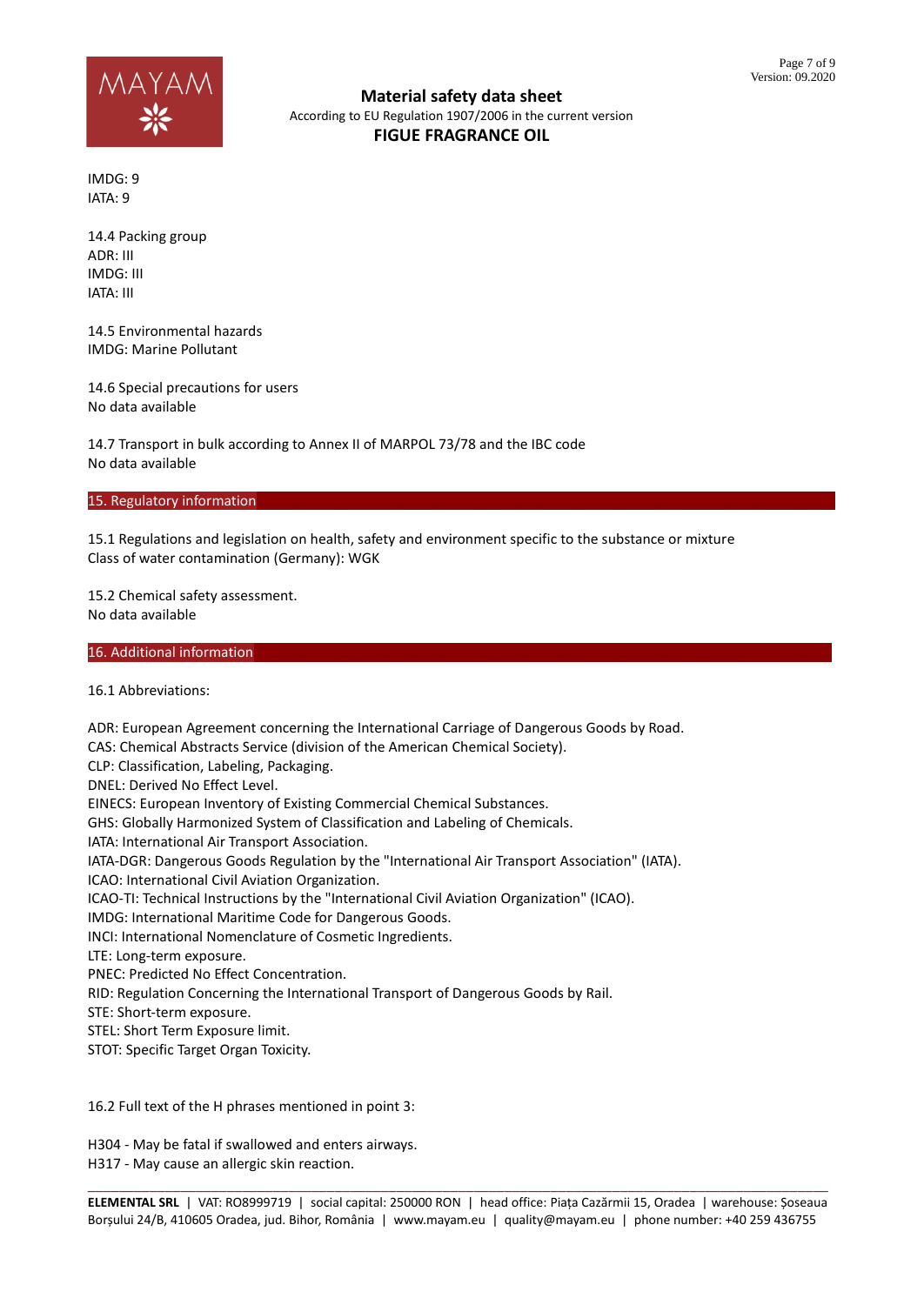

IMDG: 9 IATA: 9

14.4 Packing group ADR: III IMDG: III IATA: III

14.5 Environmental hazards IMDG: Marine Pollutant

14.6 Special precautions for users No data available

14.7 Transport in bulk according to Annex II of MARPOL 73/78 and the IBC code No data available

### 15. Regulatory information

15.1 Regulations and legislation on health, safety and environment specific to the substance or mixture Class of water contamination (Germany): WGK

15.2 Chemical safety assessment. No data available

16. Additional information

16.1 Abbreviations:

ADR: European Agreement concerning the International Carriage of Dangerous Goods by Road. CAS: Chemical Abstracts Service (division of the American Chemical Society). CLP: Classification, Labeling, Packaging. DNEL: Derived No Effect Level. EINECS: European Inventory of Existing Commercial Chemical Substances. GHS: Globally Harmonized System of Classification and Labeling of Chemicals. IATA: International Air Transport Association. IATA-DGR: Dangerous Goods Regulation by the "International Air Transport Association" (IATA). ICAO: International Civil Aviation Organization. ICAO-TI: Technical Instructions by the "International Civil Aviation Organization" (ICAO). IMDG: International Maritime Code for Dangerous Goods. INCI: International Nomenclature of Cosmetic Ingredients. LTE: Long-term exposure. PNEC: Predicted No Effect Concentration. RID: Regulation Concerning the International Transport of Dangerous Goods by Rail. STE: Short-term exposure. STEL: Short Term Exposure limit. STOT: Specific Target Organ Toxicity. 16.2 Full text of the H phrases mentioned in point 3:

H304 - May be fatal if swallowed and enters airways.

H317 - May cause an allergic skin reaction.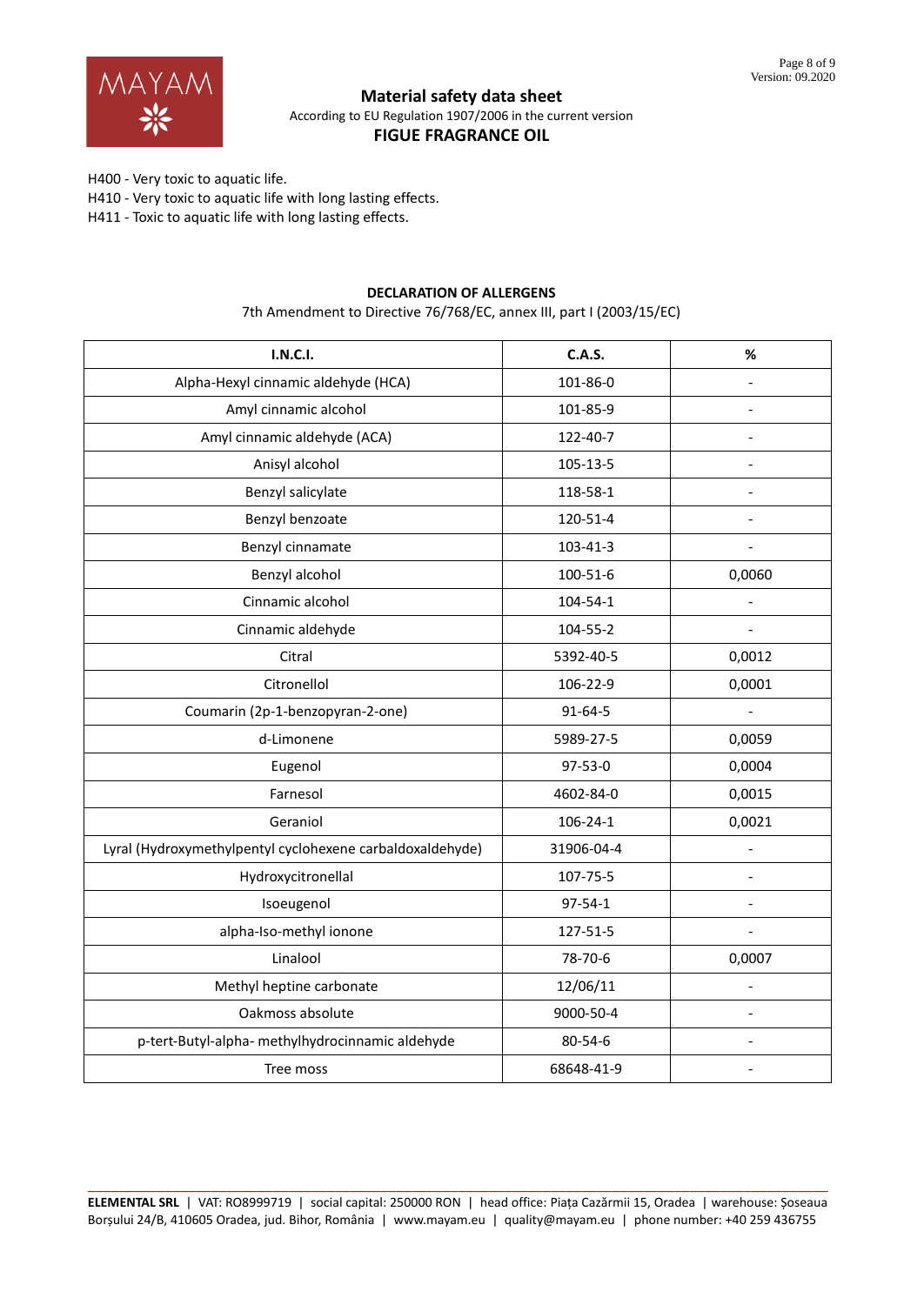

H400 - Very toxic to aquatic life.

H410 - Very toxic to aquatic life with long lasting effects.

H411 - Toxic to aquatic life with long lasting effects.

# **DECLARATION OF ALLERGENS**

7th Amendment to Directive 76/768/EC, annex III, part I (2003/15/EC)

| <b>I.N.C.I.</b>                                           | C.A.S.         | %                        |
|-----------------------------------------------------------|----------------|--------------------------|
| Alpha-Hexyl cinnamic aldehyde (HCA)                       | 101-86-0       | $\overline{\phantom{a}}$ |
| Amyl cinnamic alcohol                                     | 101-85-9       |                          |
| Amyl cinnamic aldehyde (ACA)                              | 122-40-7       |                          |
| Anisyl alcohol                                            | 105-13-5       | $\overline{a}$           |
| Benzyl salicylate                                         | 118-58-1       |                          |
| Benzyl benzoate                                           | 120-51-4       |                          |
| Benzyl cinnamate                                          | 103-41-3       |                          |
| Benzyl alcohol                                            | 100-51-6       | 0,0060                   |
| Cinnamic alcohol                                          | $104 - 54 - 1$ | $\overline{a}$           |
| Cinnamic aldehyde                                         | 104-55-2       |                          |
| Citral                                                    | 5392-40-5      | 0,0012                   |
| Citronellol                                               | 106-22-9       | 0,0001                   |
| Coumarin (2p-1-benzopyran-2-one)                          | 91-64-5        | $\blacksquare$           |
| d-Limonene                                                | 5989-27-5      | 0,0059                   |
| Eugenol                                                   | 97-53-0        | 0,0004                   |
| Farnesol                                                  | 4602-84-0      | 0,0015                   |
| Geraniol                                                  | $106 - 24 - 1$ | 0,0021                   |
| Lyral (Hydroxymethylpentyl cyclohexene carbaldoxaldehyde) | 31906-04-4     | $\blacksquare$           |
| Hydroxycitronellal                                        | 107-75-5       | $\overline{\phantom{a}}$ |
| Isoeugenol                                                | $97 - 54 - 1$  |                          |
| alpha-Iso-methyl ionone                                   | 127-51-5       | $\overline{\phantom{a}}$ |
| Linalool                                                  | 78-70-6        | 0,0007                   |
| Methyl heptine carbonate                                  | 12/06/11       | $\overline{a}$           |
| Oakmoss absolute                                          | 9000-50-4      | $\overline{a}$           |
| p-tert-Butyl-alpha- methylhydrocinnamic aldehyde          | 80-54-6        | $\overline{\phantom{a}}$ |
| Tree moss                                                 | 68648-41-9     |                          |